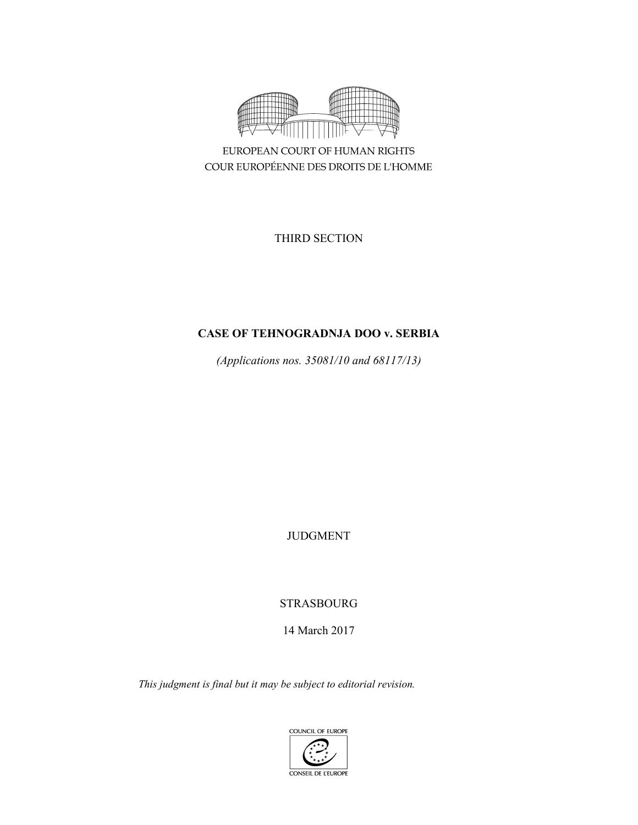

EUROPEAN COURT OF HUMAN RIGHTS COUR EUROPÉENNE DES DROITS DE L'HOMME

THIRD SECTION

# **CASE OF TEHNOGRADNJA DOO v. SERBIA**

*(Applications nos. 35081/10 and 68117/13)* 

JUDGMENT

STRASBOURG

14 March 2017

*This judgment is final but it may be subject to editorial revision.* 

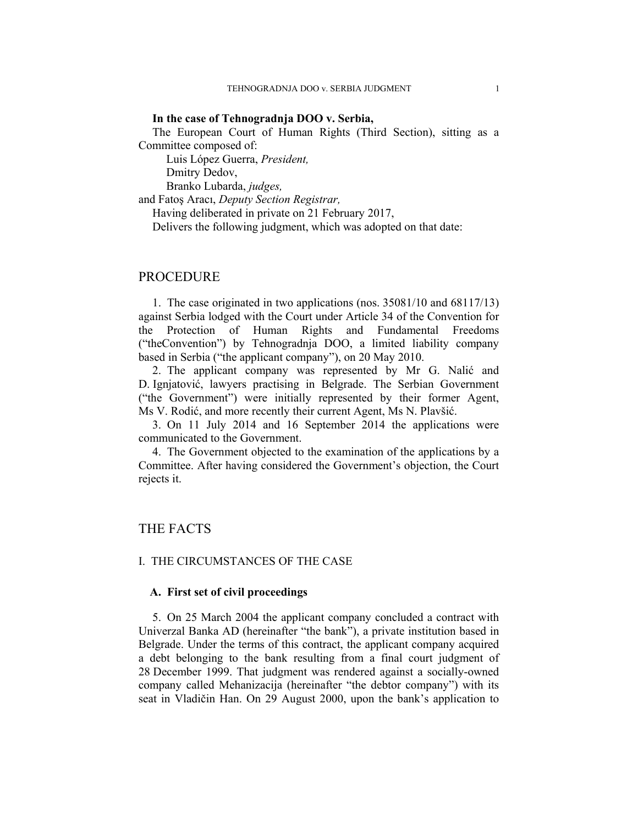## **In the case of Tehnogradnja DOO v. Serbia,**

The European Court of Human Rights (Third Section), sitting as a Committee composed of:

 Luis López Guerra, *President,*  Dmitry Dedov,

Branko Lubarda, *judges,*

and Fatoş Aracı, *Deputy Section Registrar,*

Having deliberated in private on 21 February 2017,

Delivers the following judgment, which was adopted on that date:

# PROCEDURE

1. The case originated in two applications (nos. 35081/10 and 68117/13) against Serbia lodged with the Court under Article 34 of the Convention for the Protection of Human Rights and Fundamental Freedoms ("theConvention") by Tehnogradnja DOO, a limited liability company based in Serbia ("the applicant company"), on 20 May 2010.

2. The applicant company was represented by Mr G. Nalić and D. Ignjatović, lawyers practising in Belgrade. The Serbian Government ("the Government") were initially represented by their former Agent, Ms V. Rodić, and more recently their current Agent, Ms N. Plavšić.

3. On 11 July 2014 and 16 September 2014 the applications were communicated to the Government.

4. The Government objected to the examination of the applications by a Committee. After having considered the Government's objection, the Court rejects it.

# THE FACTS

## I. THE CIRCUMSTANCES OF THE CASE

# **A. First set of civil proceedings**

5. On 25 March 2004 the applicant company concluded a contract with Univerzal Banka AD (hereinafter "the bank"), a private institution based in Belgrade. Under the terms of this contract, the applicant company acquired a debt belonging to the bank resulting from a final court judgment of 28 December 1999. That judgment was rendered against a socially-owned company called Mehanizacija (hereinafter "the debtor company") with its seat in Vladičin Han. On 29 August 2000, upon the bank's application to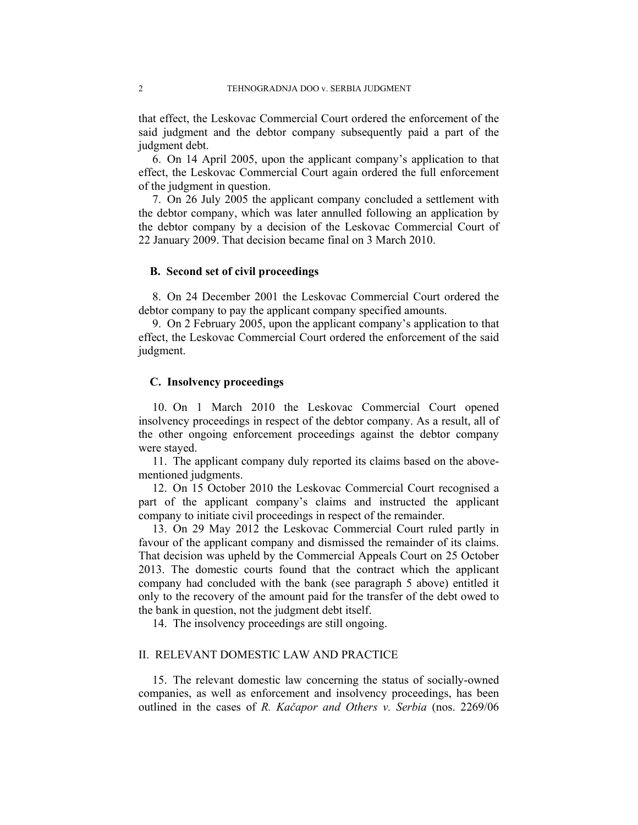that effect, the Leskovac Commercial Court ordered the enforcement of the said judgment and the debtor company subsequently paid a part of the judgment debt.

6. On 14 April 2005, upon the applicant company's application to that effect, the Leskovac Commercial Court again ordered the full enforcement of the judgment in question.

7. On 26 July 2005 the applicant company concluded a settlement with the debtor company, which was later annulled following an application by the debtor company by a decision of the Leskovac Commercial Court of 22 January 2009. That decision became final on 3 March 2010.

# **B. Second set of civil proceedings**

8. On 24 December 2001 the Leskovac Commercial Court ordered the debtor company to pay the applicant company specified amounts.

9. On 2 February 2005, upon the applicant company's application to that effect, the Leskovac Commercial Court ordered the enforcement of the said judgment.

# **C. Insolvency proceedings**

10. On 1 March 2010 the Leskovac Commercial Court opened insolvency proceedings in respect of the debtor company. As a result, all of the other ongoing enforcement proceedings against the debtor company were stayed.

11. The applicant company duly reported its claims based on the abovementioned judgments.

12. On 15 October 2010 the Leskovac Commercial Court recognised a part of the applicant company's claims and instructed the applicant company to initiate civil proceedings in respect of the remainder.

13. On 29 May 2012 the Leskovac Commercial Court ruled partly in favour of the applicant company and dismissed the remainder of its claims. That decision was upheld by the Commercial Appeals Court on 25 October 2013. The domestic courts found that the contract which the applicant company had concluded with the bank (see paragraph 5 above) entitled it only to the recovery of the amount paid for the transfer of the debt owed to the bank in question, not the judgment debt itself.

14. The insolvency proceedings are still ongoing.

## II. RELEVANT DOMESTIC LAW AND PRACTICE

15. The relevant domestic law concerning the status of socially-owned companies, as well as enforcement and insolvency proceedings, has been outlined in the cases of *R. Kačapor and Others v. Serbia* (nos. 2269/06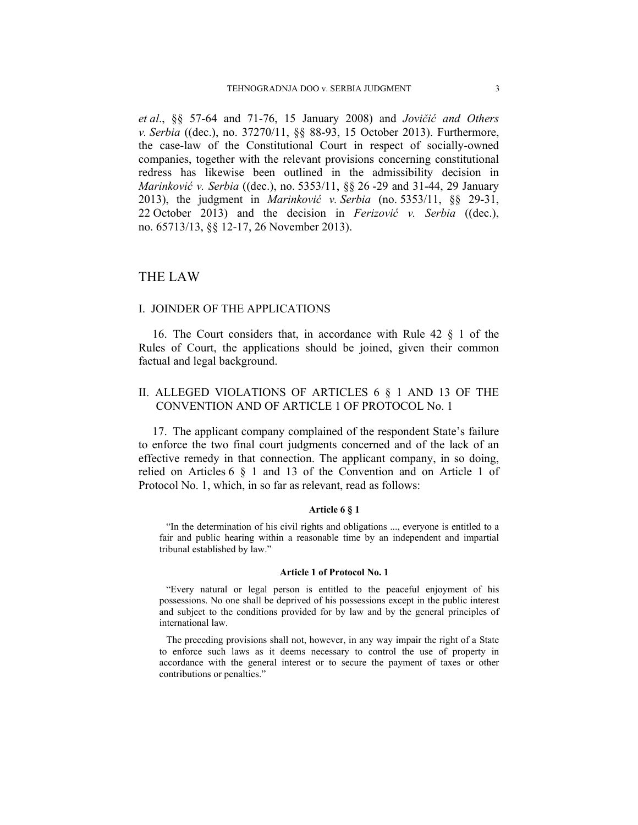*et al*., §§ 57-64 and 71-76, 15 January 2008) and *Jovičić and Others v. Serbia* ((dec.), no. 37270/11, §§ 88-93, 15 October 2013). Furthermore, the case-law of the Constitutional Court in respect of socially-owned companies, together with the relevant provisions concerning constitutional redress has likewise been outlined in the admissibility decision in *Marinković v. Serbia* ((dec.), no. 5353/11, §§ 26 -29 and 31-44, 29 January 2013), the judgment in *Marinković v. Serbia* (no. 5353/11, §§ 29-31, 22 October 2013) and the decision in *Ferizović v. Serbia* ((dec.), no. 65713/13, §§ 12-17, 26 November 2013).

# THE LAW

# I. JOINDER OF THE APPLICATIONS

16. The Court considers that, in accordance with Rule 42 § 1 of the Rules of Court, the applications should be joined, given their common factual and legal background.

# II. ALLEGED VIOLATIONS OF ARTICLES 6 § 1 AND 13 OF THE CONVENTION AND OF ARTICLE 1 OF PROTOCOL No. 1

17. The applicant company complained of the respondent State's failure to enforce the two final court judgments concerned and of the lack of an effective remedy in that connection. The applicant company, in so doing, relied on Articles 6 § 1 and 13 of the Convention and on Article 1 of Protocol No. 1, which, in so far as relevant, read as follows:

# **Article 6 § 1**

"In the determination of his civil rights and obligations ..., everyone is entitled to a fair and public hearing within a reasonable time by an independent and impartial tribunal established by law."

#### **Article 1 of Protocol No. 1**

"Every natural or legal person is entitled to the peaceful enjoyment of his possessions. No one shall be deprived of his possessions except in the public interest and subject to the conditions provided for by law and by the general principles of international law.

The preceding provisions shall not, however, in any way impair the right of a State to enforce such laws as it deems necessary to control the use of property in accordance with the general interest or to secure the payment of taxes or other contributions or penalties."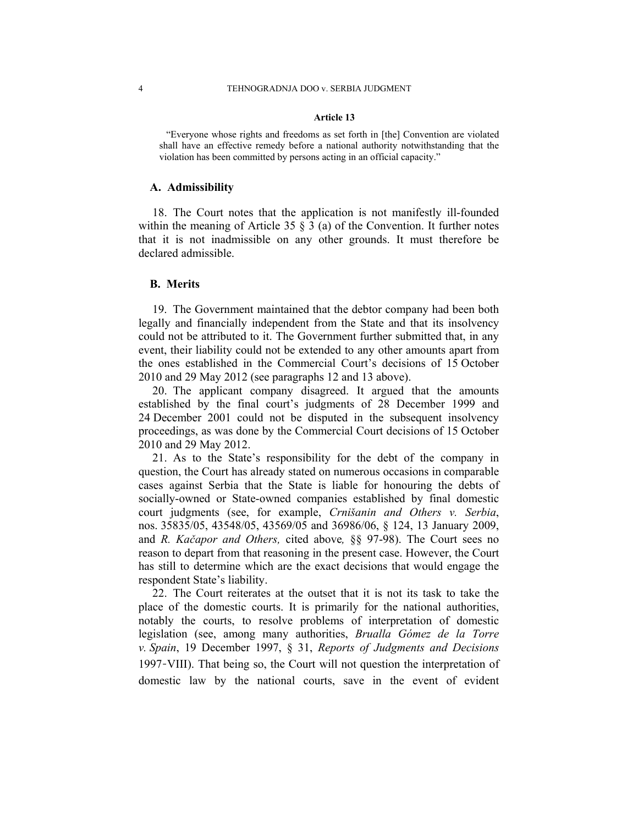#### **Article 13**

"Everyone whose rights and freedoms as set forth in [the] Convention are violated shall have an effective remedy before a national authority notwithstanding that the violation has been committed by persons acting in an official capacity."

#### **A. Admissibility**

18. The Court notes that the application is not manifestly ill-founded within the meaning of Article 35  $\S$  3 (a) of the Convention. It further notes that it is not inadmissible on any other grounds. It must therefore be declared admissible.

#### **B. Merits**

19. The Government maintained that the debtor company had been both legally and financially independent from the State and that its insolvency could not be attributed to it. The Government further submitted that, in any event, their liability could not be extended to any other amounts apart from the ones established in the Commercial Court's decisions of 15 October 2010 and 29 May 2012 (see paragraphs 12 and 13 above).

20. The applicant company disagreed. It argued that the amounts established by the final court's judgments of 28 December 1999 and 24 December 2001 could not be disputed in the subsequent insolvency proceedings, as was done by the Commercial Court decisions of 15 October 2010 and 29 May 2012.

21. As to the State's responsibility for the debt of the company in question, the Court has already stated on numerous occasions in comparable cases against Serbia that the State is liable for honouring the debts of socially-owned or State-owned companies established by final domestic court judgments (see, for example, *Crnišanin and Others v. Serbia*, nos. 35835/05, 43548/05, 43569/05 and 36986/06, § 124, 13 January 2009, and *R. Kačapor and Others,* cited above*,* §§ 97-98). The Court sees no reason to depart from that reasoning in the present case. However, the Court has still to determine which are the exact decisions that would engage the respondent State's liability.

22. The Court reiterates at the outset that it is not its task to take the place of the domestic courts. It is primarily for the national authorities, notably the courts, to resolve problems of interpretation of domestic legislation (see, among many authorities, *Brualla Gómez de la Torre v. Spain*, 19 December 1997, § 31, *Reports of Judgments and Decisions* 1997-VIII). That being so, the Court will not question the interpretation of domestic law by the national courts, save in the event of evident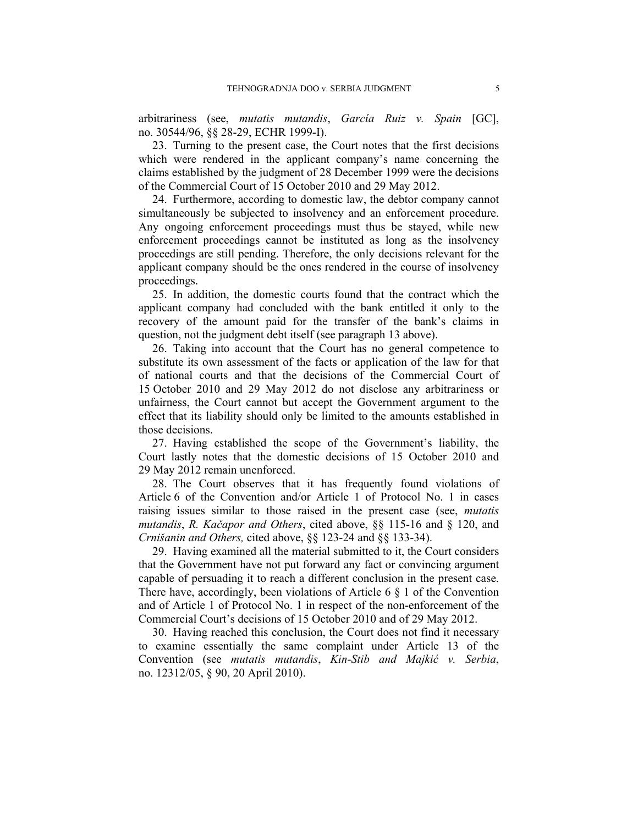arbitrariness (see, *mutatis mutandis*, *García Ruiz v. Spain* [GC], no. 30544/96, §§ 28-29, ECHR 1999-I).

23. Turning to the present case, the Court notes that the first decisions which were rendered in the applicant company's name concerning the claims established by the judgment of 28 December 1999 were the decisions of the Commercial Court of 15 October 2010 and 29 May 2012.

24. Furthermore, according to domestic law, the debtor company cannot simultaneously be subjected to insolvency and an enforcement procedure. Any ongoing enforcement proceedings must thus be stayed, while new enforcement proceedings cannot be instituted as long as the insolvency proceedings are still pending. Therefore, the only decisions relevant for the applicant company should be the ones rendered in the course of insolvency proceedings.

25. In addition, the domestic courts found that the contract which the applicant company had concluded with the bank entitled it only to the recovery of the amount paid for the transfer of the bank's claims in question, not the judgment debt itself (see paragraph 13 above).

26. Taking into account that the Court has no general competence to substitute its own assessment of the facts or application of the law for that of national courts and that the decisions of the Commercial Court of 15 October 2010 and 29 May 2012 do not disclose any arbitrariness or unfairness, the Court cannot but accept the Government argument to the effect that its liability should only be limited to the amounts established in those decisions.

27. Having established the scope of the Government's liability, the Court lastly notes that the domestic decisions of 15 October 2010 and 29 May 2012 remain unenforced.

28. The Court observes that it has frequently found violations of Article 6 of the Convention and/or Article 1 of Protocol No. 1 in cases raising issues similar to those raised in the present case (see, *mutatis mutandis*, *R. Kačapor and Others*, cited above, §§ 115-16 and § 120, and *Crnišanin and Others,* cited above, §§ 123-24 and §§ 133-34).

29. Having examined all the material submitted to it, the Court considers that the Government have not put forward any fact or convincing argument capable of persuading it to reach a different conclusion in the present case. There have, accordingly, been violations of Article 6 § 1 of the Convention and of Article 1 of Protocol No. 1 in respect of the non-enforcement of the Commercial Court's decisions of 15 October 2010 and of 29 May 2012.

30. Having reached this conclusion, the Court does not find it necessary to examine essentially the same complaint under Article 13 of the Convention (see *mutatis mutandis*, *Kin-Stib and Majkić v. Serbia*, no. 12312/05, § 90, 20 April 2010).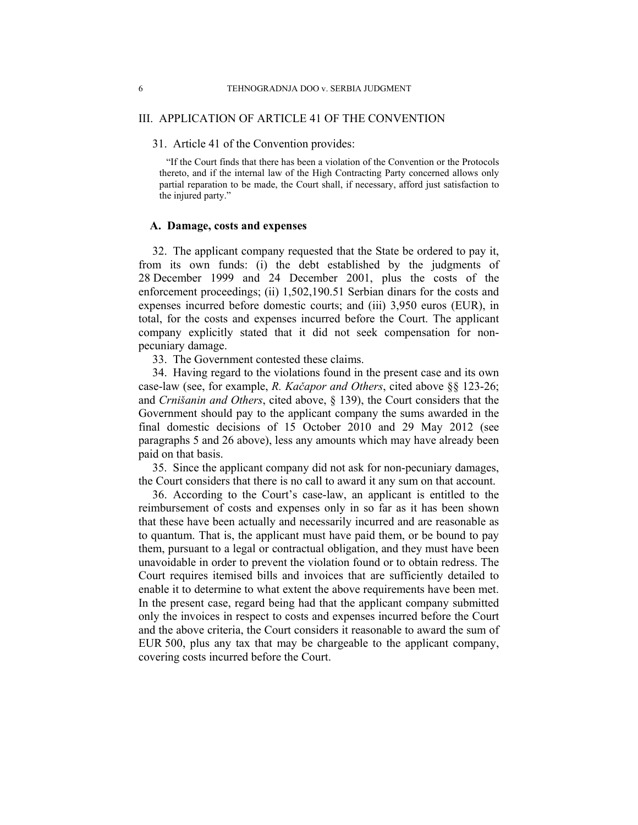## III. APPLICATION OF ARTICLE 41 OF THE CONVENTION

# 31. Article 41 of the Convention provides:

"If the Court finds that there has been a violation of the Convention or the Protocols thereto, and if the internal law of the High Contracting Party concerned allows only partial reparation to be made, the Court shall, if necessary, afford just satisfaction to the injured party."

# **A. Damage, costs and expenses**

32. The applicant company requested that the State be ordered to pay it, from its own funds: (i) the debt established by the judgments of 28 December 1999 and 24 December 2001, plus the costs of the enforcement proceedings; (ii) 1,502,190.51 Serbian dinars for the costs and expenses incurred before domestic courts; and (iii) 3,950 euros (EUR), in total, for the costs and expenses incurred before the Court. The applicant company explicitly stated that it did not seek compensation for nonpecuniary damage.

33. The Government contested these claims.

34. Having regard to the violations found in the present case and its own case-law (see, for example, *R. Kačapor and Others*, cited above §§ 123-26; and *Crnišanin and Others*, cited above, § 139), the Court considers that the Government should pay to the applicant company the sums awarded in the final domestic decisions of 15 October 2010 and 29 May 2012 (see paragraphs 5 and 26 above), less any amounts which may have already been paid on that basis.

35. Since the applicant company did not ask for non-pecuniary damages, the Court considers that there is no call to award it any sum on that account.

36. According to the Court's case-law, an applicant is entitled to the reimbursement of costs and expenses only in so far as it has been shown that these have been actually and necessarily incurred and are reasonable as to quantum. That is, the applicant must have paid them, or be bound to pay them, pursuant to a legal or contractual obligation, and they must have been unavoidable in order to prevent the violation found or to obtain redress. The Court requires itemised bills and invoices that are sufficiently detailed to enable it to determine to what extent the above requirements have been met. In the present case, regard being had that the applicant company submitted only the invoices in respect to costs and expenses incurred before the Court and the above criteria, the Court considers it reasonable to award the sum of EUR 500, plus any tax that may be chargeable to the applicant company, covering costs incurred before the Court.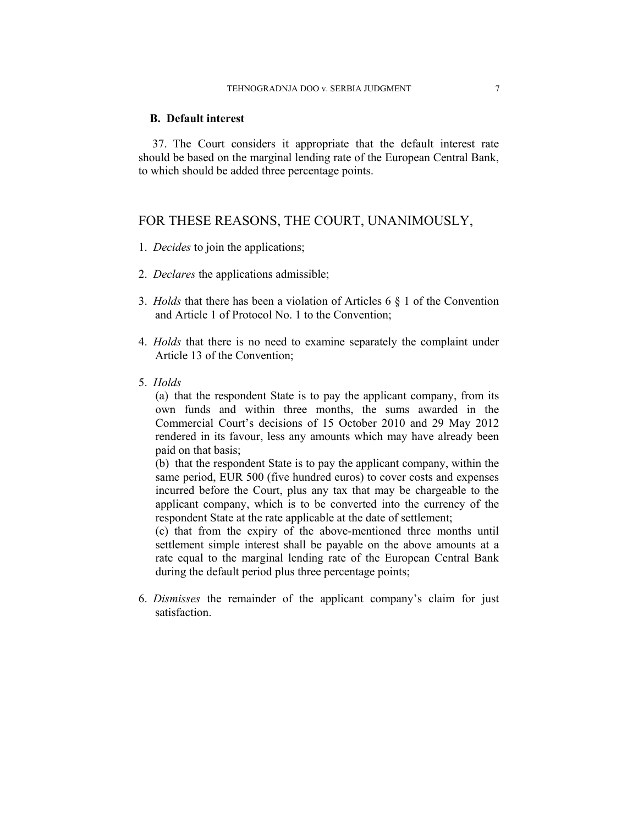# **B. Default interest**

37. The Court considers it appropriate that the default interest rate should be based on the marginal lending rate of the European Central Bank, to which should be added three percentage points.

# FOR THESE REASONS, THE COURT, UNANIMOUSLY,

- 1. *Decides* to join the applications;
- 2. *Declares* the applications admissible;
- 3. *Holds* that there has been a violation of Articles 6 § 1 of the Convention and Article 1 of Protocol No. 1 to the Convention;
- 4. *Holds* that there is no need to examine separately the complaint under Article 13 of the Convention;
- 5. *Holds*

(a) that the respondent State is to pay the applicant company, from its own funds and within three months, the sums awarded in the Commercial Court's decisions of 15 October 2010 and 29 May 2012 rendered in its favour, less any amounts which may have already been paid on that basis;

(b) that the respondent State is to pay the applicant company, within the same period, EUR 500 (five hundred euros) to cover costs and expenses incurred before the Court, plus any tax that may be chargeable to the applicant company, which is to be converted into the currency of the respondent State at the rate applicable at the date of settlement;

(c) that from the expiry of the above-mentioned three months until settlement simple interest shall be payable on the above amounts at a rate equal to the marginal lending rate of the European Central Bank during the default period plus three percentage points;

6. *Dismisses* the remainder of the applicant company's claim for just satisfaction.